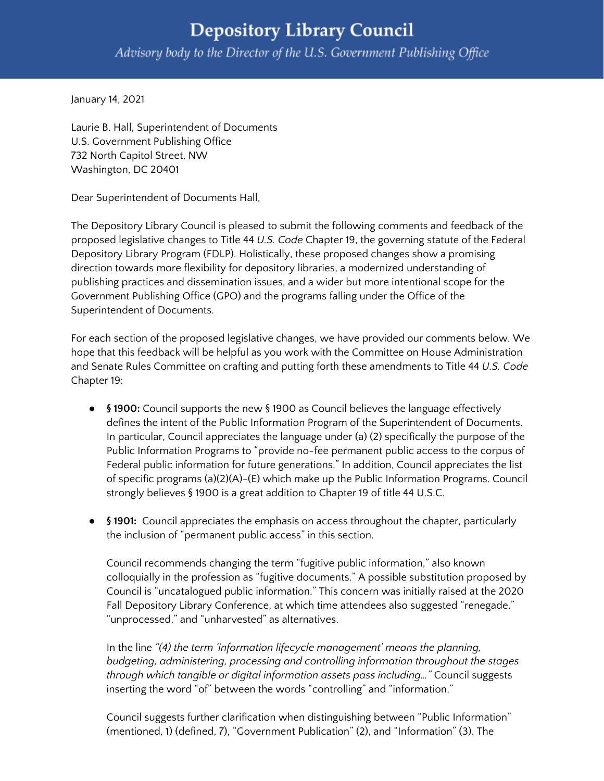## **Depository Library Council** Advisory body to the Director of the U.S. Government Publishing Office

January 14, 2021

Laurie B. Hall, Superintendent of Documents U.S. Government Publishing Office 732 North Capitol Street, NW Washington, DC 20401

Dear Superintendent of Documents Hall,

The Depository Library Council is pleased to submit the following comments and feedback of the proposed legislative changes to Title 44 *U.S. Code* Chapter 19, the governing statute of the Federal Depository Library Program (FDLP). Holistically, these proposed changes show a promising direction towards more flexibility for depository libraries, a modernized understanding of publishing practices and dissemination issues, and a wider but more intentional scope for the Government Publishing Office (GPO) and the programs falling under the Office of the Superintendent of Documents.

For each section of the proposed legislative changes, we have provided our comments below. We hope that this feedback will be helpful as you work with the Committee on House Administration and Senate Rules Committee on crafting and putting forth these amendments to Title 44 *U.S. Code* Chapter 19:

- **● § 1900:** Council supports the new § 1900 as Council believes the language effectively defines the intent of the Public Information Program of the Superintendent of Documents. In particular, Council appreciates the language under (a) (2) specifically the purpose of the Public Information Programs to "provide no-fee permanent public access to the corpus of Federal public information for future generations." In addition, Council appreciates the list of specific programs (a)(2)(A)-(E) which make up the Public Information Programs. Council strongly believes § 1900 is a great addition to Chapter 19 of title 44 U.S.C.
- **● § 1901:** Council appreciates the emphasis on access throughout the chapter, particularly the inclusion of "permanent public access" in this section.

Council recommends changing the term "fugitive public information," also known colloquially in the profession as "fugitive documents." A possible substitution proposed by Council is "uncatalogued public information." This concern was initially raised at the 2020 Fall Depository Library Conference, at which time attendees also suggested "renegade," "unprocessed," and "unharvested" as alternatives.

In the line *"(4) the term 'information lifecycle management' means the planning, budgeting, administering, processing and controlling information throughout the stages through which tangible or digital information assets pass including…"* Council suggests inserting the word "of" between the words "controlling" and "information."

Council suggests further clarification when distinguishing between "Public Information" (mentioned, 1) (defined, 7), "Government Publication" (2), and "Information" (3). The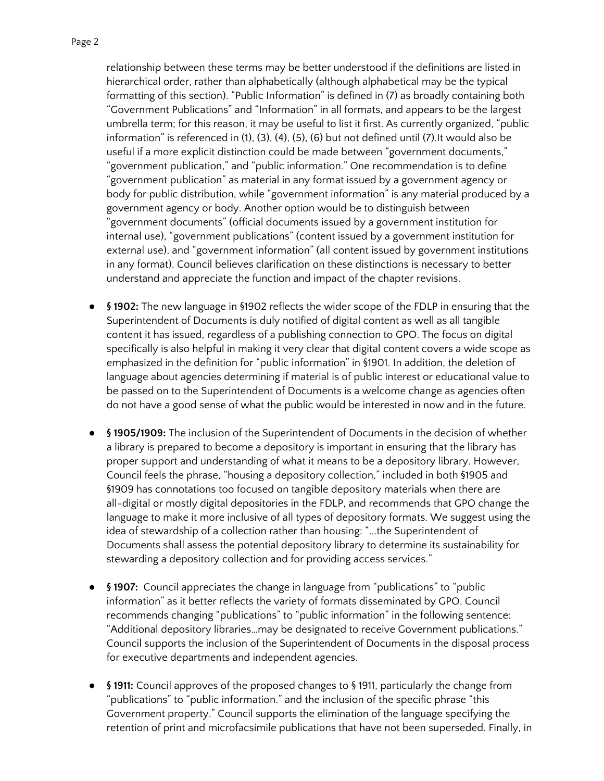relationship between these terms may be better understood if the definitions are listed in hierarchical order, rather than alphabetically (although alphabetical may be the typical formatting of this section). "Public Information" is defined in (7) as broadly containing both "Government Publications" and "Information" in all formats, and appears to be the largest umbrella term; for this reason, it may be useful to list it first. As currently organized, "public information" is referenced in (1), (3), (4), (5), (6) but not defined until (7).It would also be useful if a more explicit distinction could be made between "government documents," "government publication," and "public information." One recommendation is to define "government publication" as material in any format issued by a government agency or body for public distribution, while "government information" is any material produced by a government agency or body. Another option would be to distinguish between "government documents" (official documents issued by a government institution for internal use), "government publications" (content issued by a government institution for external use), and "government information" (all content issued by government institutions in any format). Council believes clarification on these distinctions is necessary to better understand and appreciate the function and impact of the chapter revisions.

- **● § 1902:** The new language in §1902 reflects the wider scope of the FDLP in ensuring that the Superintendent of Documents is duly notified of digital content as well as all tangible content it has issued, regardless of a publishing connection to GPO. The focus on digital specifically is also helpful in making it very clear that digital content covers a wide scope as emphasized in the definition for "public information" in §1901. In addition, the deletion of language about agencies determining if material is of public interest or educational value to be passed on to the Superintendent of Documents is a welcome change as agencies often do not have a good sense of what the public would be interested in now and in the future.
- **● § 1905/1909:** The inclusion of the Superintendent of Documents in the decision of whether a library is prepared to become a depository is important in ensuring that the library has proper support and understanding of what it means to be a depository library. However, Council feels the phrase, "housing a depository collection," included in both §1905 and §1909 has connotations too focused on tangible depository materials when there are all-digital or mostly digital depositories in the FDLP, and recommends that GPO change the language to make it more inclusive of all types of depository formats. We suggest using the idea of stewardship of a collection rather than housing: "...the Superintendent of Documents shall assess the potential depository library to determine its sustainability for stewarding a depository collection and for providing access services."
- **● § 1907:** Council appreciates the change in language from "publications" to "public information" as it better reflects the variety of formats disseminated by GPO. Council recommends changing "publications" to "public information" in the following sentence: "Additional depository libraries…may be designated to receive Government publications." Council supports the inclusion of the Superintendent of Documents in the disposal process for executive departments and independent agencies.
- **● § 1911:** Council approves of the proposed changes to § 1911, particularly the change from "publications" to "public information." and the inclusion of the specific phrase "this Government property." Council supports the elimination of the language specifying the retention of print and microfacsimile publications that have not been superseded. Finally, in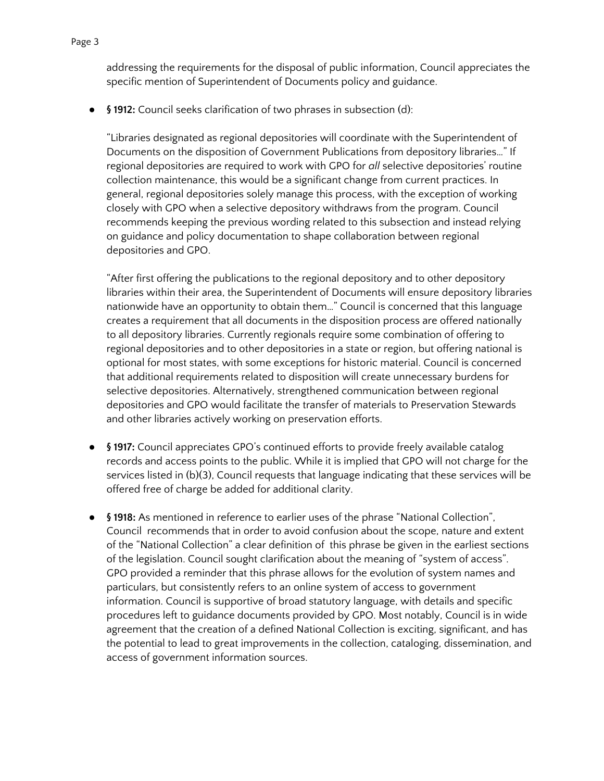addressing the requirements for the disposal of public information, Council appreciates the specific mention of Superintendent of Documents policy and guidance.

**● § 1912:** Council seeks clarification of two phrases in subsection (d):

"Libraries designated as regional depositories will coordinate with the Superintendent of Documents on the disposition of Government Publications from depository libraries…" If regional depositories are required to work with GPO for *all* selective depositories' routine collection maintenance, this would be a significant change from current practices. In general, regional depositories solely manage this process, with the exception of working closely with GPO when a selective depository withdraws from the program. Council recommends keeping the previous wording related to this subsection and instead relying on guidance and policy documentation to shape collaboration between regional depositories and GPO.

"After first offering the publications to the regional depository and to other depository libraries within their area, the Superintendent of Documents will ensure depository libraries nationwide have an opportunity to obtain them…" Council is concerned that this language creates a requirement that all documents in the disposition process are offered nationally to all depository libraries. Currently regionals require some combination of offering to regional depositories and to other depositories in a state or region, but offering national is optional for most states, with some exceptions for historic material. Council is concerned that additional requirements related to disposition will create unnecessary burdens for selective depositories. Alternatively, strengthened communication between regional depositories and GPO would facilitate the transfer of materials to Preservation Stewards and other libraries actively working on preservation efforts.

- **● § 1917:** Council appreciates GPO's continued efforts to provide freely available catalog records and access points to the public. While it is implied that GPO will not charge for the services listed in (b)(3), Council requests that language indicating that these services will be offered free of charge be added for additional clarity.
- **● § 1918:** As mentioned in reference to earlier uses of the phrase "National Collection", Council recommends that in order to avoid confusion about the scope, nature and extent of the "National Collection" a clear definition of this phrase be given in the earliest sections of the legislation. Council sought clarification about the meaning of "system of access". GPO provided a reminder that this phrase allows for the evolution of system names and particulars, but consistently refers to an online system of access to government information. Council is supportive of broad statutory language, with details and specific procedures left to guidance documents provided by GPO. Most notably, Council is in wide agreement that the creation of a defined National Collection is exciting, significant, and has the potential to lead to great improvements in the collection, cataloging, dissemination, and access of government information sources.